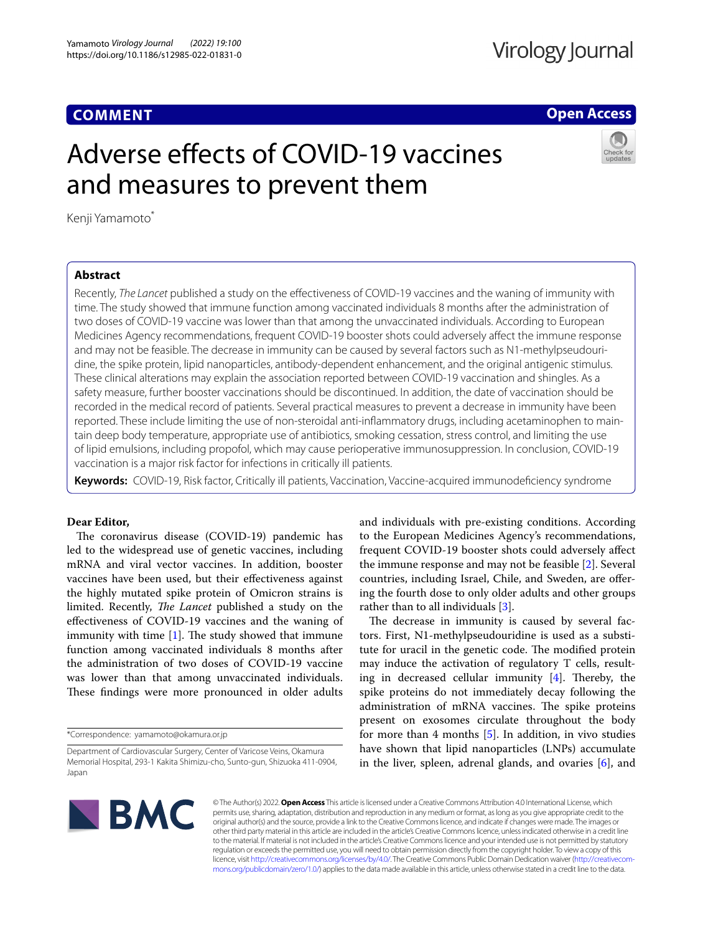# **COMMENT**

# **Open Access**

# Adverse effects of COVID-19 vaccines and measures to prevent them



Kenji Yamamoto<sup>\*</sup>

## **Abstract**

Recently, *The Lancet* published a study on the efectiveness of COVID-19 vaccines and the waning of immunity with time. The study showed that immune function among vaccinated individuals 8 months after the administration of two doses of COVID-19 vaccine was lower than that among the unvaccinated individuals. According to European Medicines Agency recommendations, frequent COVID-19 booster shots could adversely afect the immune response and may not be feasible. The decrease in immunity can be caused by several factors such as N1-methylpseudouridine, the spike protein, lipid nanoparticles, antibody-dependent enhancement, and the original antigenic stimulus. These clinical alterations may explain the association reported between COVID-19 vaccination and shingles. As a safety measure, further booster vaccinations should be discontinued. In addition, the date of vaccination should be recorded in the medical record of patients. Several practical measures to prevent a decrease in immunity have been reported. These include limiting the use of non-steroidal anti-infammatory drugs, including acetaminophen to maintain deep body temperature, appropriate use of antibiotics, smoking cessation, stress control, and limiting the use of lipid emulsions, including propofol, which may cause perioperative immunosuppression. In conclusion, COVID-19 vaccination is a major risk factor for infections in critically ill patients.

**Keywords:** COVID-19, Risk factor, Critically ill patients, Vaccination, Vaccine-acquired immunodefciency syndrome

## **Dear Editor,**

The coronavirus disease (COVID-19) pandemic has led to the widespread use of genetic vaccines, including mRNA and viral vector vaccines. In addition, booster vaccines have been used, but their efectiveness against the highly mutated spike protein of Omicron strains is limited. Recently, *The Lancet* published a study on the efectiveness of COVID-19 vaccines and the waning of immunity with time  $[1]$  $[1]$ . The study showed that immune function among vaccinated individuals 8 months after the administration of two doses of COVID-19 vaccine was lower than that among unvaccinated individuals. These findings were more pronounced in older adults

\*Correspondence: yamamoto@okamura.or.jp

and individuals with pre-existing conditions. According to the European Medicines Agency's recommendations, frequent COVID-19 booster shots could adversely afect the immune response and may not be feasible [\[2](#page-2-1)]. Several countries, including Israel, Chile, and Sweden, are ofering the fourth dose to only older adults and other groups rather than to all individuals [[3](#page-2-2)].

The decrease in immunity is caused by several factors. First, N1-methylpseudouridine is used as a substitute for uracil in the genetic code. The modified protein may induce the activation of regulatory T cells, resulting in decreased cellular immunity  $[4]$  $[4]$ . Thereby, the spike proteins do not immediately decay following the administration of mRNA vaccines. The spike proteins present on exosomes circulate throughout the body for more than 4 months [[5\]](#page-2-4). In addition, in vivo studies have shown that lipid nanoparticles (LNPs) accumulate in the liver, spleen, adrenal glands, and ovaries [\[6](#page-2-5)], and



© The Author(s) 2022. **Open Access** This article is licensed under a Creative Commons Attribution 4.0 International License, which permits use, sharing, adaptation, distribution and reproduction in any medium or format, as long as you give appropriate credit to the original author(s) and the source, provide a link to the Creative Commons licence, and indicate if changes were made. The images or other third party material in this article are included in the article's Creative Commons licence, unless indicated otherwise in a credit line to the material. If material is not included in the article's Creative Commons licence and your intended use is not permitted by statutory regulation or exceeds the permitted use, you will need to obtain permission directly from the copyright holder. To view a copy of this licence, visit [http://creativecommons.org/licenses/by/4.0/.](http://creativecommons.org/licenses/by/4.0/) The Creative Commons Public Domain Dedication waiver ([http://creativecom](http://creativecommons.org/publicdomain/zero/1.0/)[mons.org/publicdomain/zero/1.0/\)](http://creativecommons.org/publicdomain/zero/1.0/) applies to the data made available in this article, unless otherwise stated in a credit line to the data.

Department of Cardiovascular Surgery, Center of Varicose Veins, Okamura Memorial Hospital, 293-1 Kakita Shimizu-cho, Sunto-gun, Shizuoka 411-0904, Japan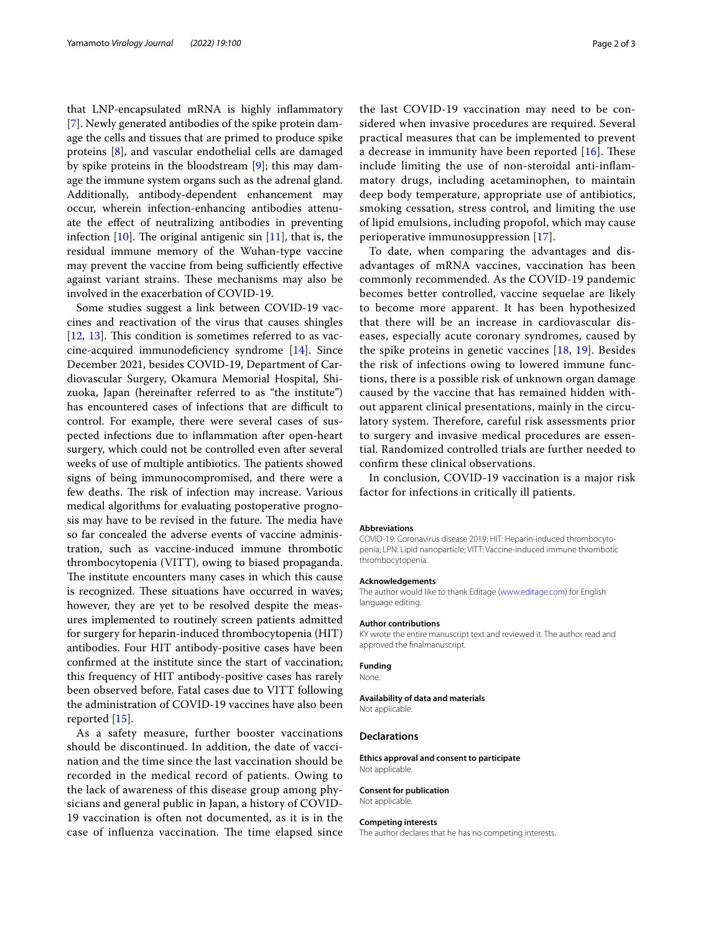that LNP-encapsulated mRNA is highly infammatory [[7\]](#page-2-6). Newly generated antibodies of the spike protein damage the cells and tissues that are primed to produce spike proteins [\[8\]](#page-2-7), and vascular endothelial cells are damaged by spike proteins in the bloodstream [[9\]](#page-2-8); this may damage the immune system organs such as the adrenal gland. Additionally, antibody-dependent enhancement may occur, wherein infection-enhancing antibodies attenuate the efect of neutralizing antibodies in preventing infection  $[10]$  $[10]$ . The original antigenic sin  $[11]$  $[11]$ , that is, the residual immune memory of the Wuhan-type vaccine may prevent the vaccine from being sufficiently effective against variant strains. These mechanisms may also be involved in the exacerbation of COVID-19.

Some studies suggest a link between COVID-19 vaccines and reactivation of the virus that causes shingles  $[12, 13]$  $[12, 13]$  $[12, 13]$  $[12, 13]$  $[12, 13]$ . This condition is sometimes referred to as vaccine-acquired immunodefciency syndrome [\[14](#page-2-13)]. Since December 2021, besides COVID-19, Department of Cardiovascular Surgery, Okamura Memorial Hospital, Shizuoka, Japan (hereinafter referred to as "the institute") has encountered cases of infections that are difficult to control. For example, there were several cases of suspected infections due to infammation after open-heart surgery, which could not be controlled even after several weeks of use of multiple antibiotics. The patients showed signs of being immunocompromised, and there were a few deaths. The risk of infection may increase. Various medical algorithms for evaluating postoperative prognosis may have to be revised in the future. The media have so far concealed the adverse events of vaccine administration, such as vaccine-induced immune thrombotic thrombocytopenia (VITT), owing to biased propaganda. The institute encounters many cases in which this cause is recognized. These situations have occurred in waves; however, they are yet to be resolved despite the measures implemented to routinely screen patients admitted for surgery for heparin-induced thrombocytopenia (HIT) antibodies. Four HIT antibody-positive cases have been confrmed at the institute since the start of vaccination; this frequency of HIT antibody-positive cases has rarely been observed before. Fatal cases due to VITT following the administration of COVID-19 vaccines have also been reported [[15\]](#page-2-14).

As a safety measure, further booster vaccinations should be discontinued. In addition, the date of vaccination and the time since the last vaccination should be recorded in the medical record of patients. Owing to the lack of awareness of this disease group among physicians and general public in Japan, a history of COVID-19 vaccination is often not documented, as it is in the case of influenza vaccination. The time elapsed since the last COVID-19 vaccination may need to be considered when invasive procedures are required. Several practical measures that can be implemented to prevent a decrease in immunity have been reported  $[16]$  $[16]$ . These include limiting the use of non-steroidal anti-infammatory drugs, including acetaminophen, to maintain deep body temperature, appropriate use of antibiotics, smoking cessation, stress control, and limiting the use of lipid emulsions, including propofol, which may cause perioperative immunosuppression [[17](#page-2-16)].

To date, when comparing the advantages and disadvantages of mRNA vaccines, vaccination has been commonly recommended. As the COVID-19 pandemic becomes better controlled, vaccine sequelae are likely to become more apparent. It has been hypothesized that there will be an increase in cardiovascular diseases, especially acute coronary syndromes, caused by the spike proteins in genetic vaccines [\[18](#page-2-17), [19](#page-2-18)]. Besides the risk of infections owing to lowered immune functions, there is a possible risk of unknown organ damage caused by the vaccine that has remained hidden without apparent clinical presentations, mainly in the circulatory system. Therefore, careful risk assessments prior to surgery and invasive medical procedures are essential. Randomized controlled trials are further needed to confrm these clinical observations.

In conclusion, COVID-19 vaccination is a major risk factor for infections in critically ill patients.

#### **Abbreviations**

COVID-19: Coronavirus disease 2019; HIT: Heparin-induced thrombocytopenia; LPN: Lipid nanoparticle; VITT: Vaccine-induced immune thrombotic thrombocytopenia.

#### **Acknowledgements**

The author would like to thank Editage [\(www.editage.com\)](http://www.editage.com) for English language editing.

#### **Author contributions**

KY wrote the entire manuscript text and reviewed it. The author read and approved the fnalmanuscript.

## **Funding**

None.

#### **Availability of data and materials**

Not applicable.

#### **Declarations**

**Ethics approval and consent to participate** Not applicable.

#### **Consent for publication**

Not applicable.

#### **Competing interests**

The author declares that he has no competing interests.